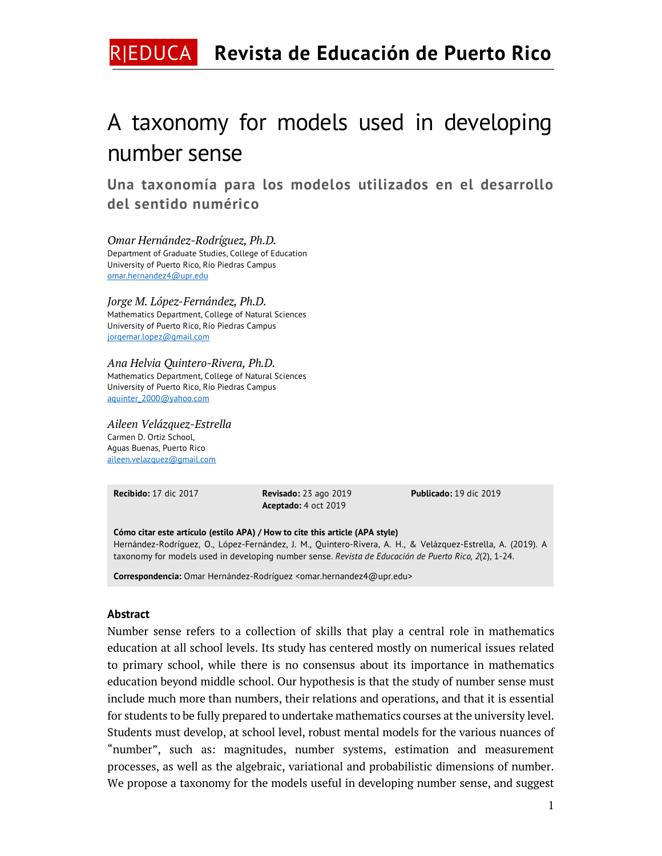# R|EDUCA **Revista de Educación de Puerto Rico**

# A taxonomy for models used in developing number sense

**Una taxonomía para los modelos utilizados en el desarrollo del sentido numérico**

*Omar Hernández-Rodríguez, Ph.D.* Department of Graduate Studies, College of Education University of Puerto Rico, Río Piedras Campus omar.hernandez4@upr.edu

#### *Jorge M. López-Fernández, Ph.D.*

Mathematics Department, College of Natural Sciences University of Puerto Rico, Río Piedras Campus jorgemar.lopez@gmail.com

#### *Ana Helvia Quintero-Rivera, Ph.D.*

Mathematics Department, College of Natural Sciences University of Puerto Rico, Río Piedras Campus aquinter\_2000@yahoo.com

#### *Aileen Velázquez-Estrella*

Carmen D. Ortiz School, Aguas Buenas, Puerto Rico aileen.velazquez@gmail.com

**Recibido:** 17 dic 2017 **Revisado:** 23 ago 2019 **Aceptado:** 4 oct 2019

**Publicado:** 19 dic 2019

**Cómo citar este artículo (estilo APA) / How to cite this article (APA style)** Hernández-Rodríguez, O., López-Fernández, J. M., Quintero-Rivera, A. H., & Velázquez-Estrella, A. (2019). A taxonomy for models used in developing number sense. *Revista de Educación de Puerto Rico, 2*(2), 1-24.

**Correspondencia:** Omar Hernández-Rodríguez <omar.hernandez4@upr.edu>

#### **Abstract**

Number sense refers to a collection of skills that play a central role in mathematics education at all school levels. Its study has centered mostly on numerical issues related to primary school, while there is no consensus about its importance in mathematics education beyond middle school. Our hypothesis is that the study of number sense must include much more than numbers, their relations and operations, and that it is essential for students to be fully prepared to undertake mathematics courses at the university level. Students must develop, at school level, robust mental models for the various nuances of "number", such as: magnitudes, number systems, estimation and measurement processes, as well as the algebraic, variational and probabilistic dimensions of number. We propose a taxonomy for the models useful in developing number sense, and suggest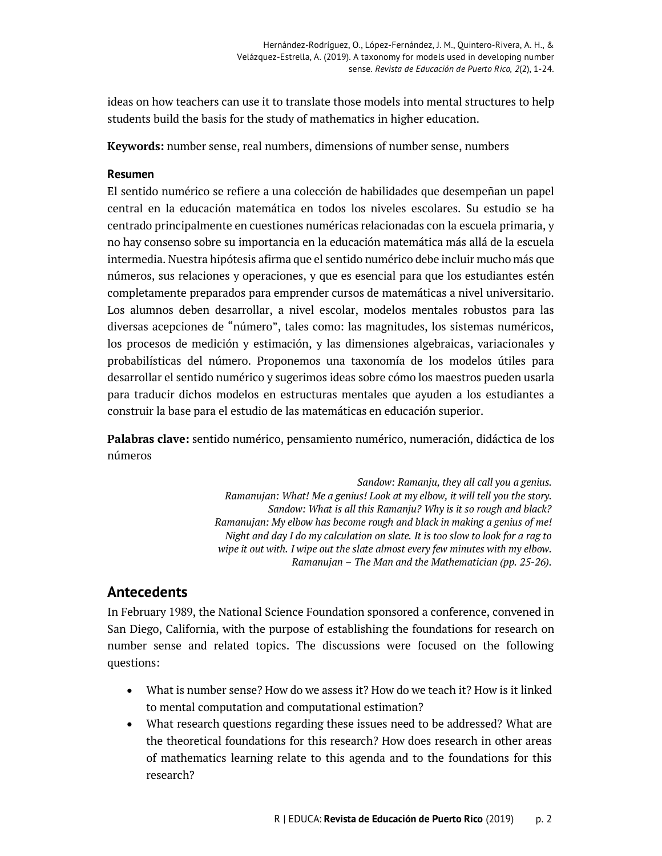ideas on how teachers can use it to translate those models into mental structures to help students build the basis for the study of mathematics in higher education.

**Keywords:** number sense, real numbers, dimensions of number sense, numbers

#### **Resumen**

El sentido numérico se refiere a una colección de habilidades que desempeñan un papel central en la educación matemática en todos los niveles escolares. Su estudio se ha centrado principalmente en cuestiones numéricas relacionadas con la escuela primaria, y no hay consenso sobre su importancia en la educación matemática más allá de la escuela intermedia. Nuestra hipótesis afirma que el sentido numérico debe incluir mucho más que números, sus relaciones y operaciones, y que es esencial para que los estudiantes estén completamente preparados para emprender cursos de matemáticas a nivel universitario. Los alumnos deben desarrollar, a nivel escolar, modelos mentales robustos para las diversas acepciones de "número", tales como: las magnitudes, los sistemas numéricos, los procesos de medición y estimación, y las dimensiones algebraicas, variacionales y probabilísticas del número. Proponemos una taxonomía de los modelos útiles para desarrollar el sentido numérico y sugerimos ideas sobre cómo los maestros pueden usarla para traducir dichos modelos en estructuras mentales que ayuden a los estudiantes a construir la base para el estudio de las matemáticas en educación superior.

**Palabras clave:** sentido numérico, pensamiento numérico, numeración, didáctica de los números

> *Sandow: Ramanju, they all call you a genius. Ramanujan: What! Me a genius! Look at my elbow, it will tell you the story. Sandow: What is all this Ramanju? Why is it so rough and black? Ramanujan: My elbow has become rough and black in making a genius of me! Night and day I do my calculation on slate. It is too slow to look for a rag to wipe it out with. I wipe out the slate almost every few minutes with my elbow. Ramanujan – The Man and the Mathematician (pp. 25-26).*

## **Antecedents**

In February 1989, the National Science Foundation sponsored a conference, convened in San Diego, California, with the purpose of establishing the foundations for research on number sense and related topics. The discussions were focused on the following questions:

- What is number sense? How do we assess it? How do we teach it? How is it linked to mental computation and computational estimation?
- What research questions regarding these issues need to be addressed? What are the theoretical foundations for this research? How does research in other areas of mathematics learning relate to this agenda and to the foundations for this research?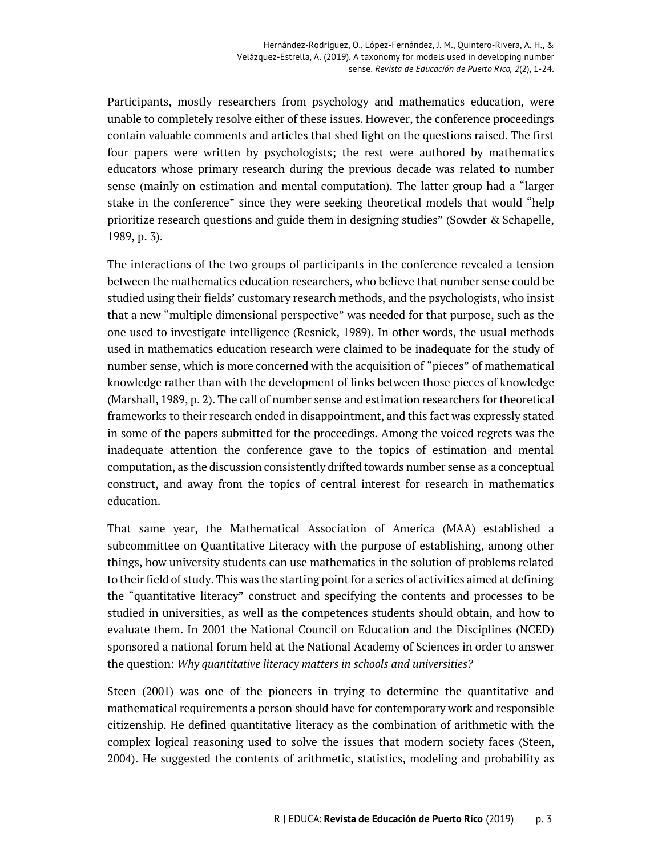Participants, mostly researchers from psychology and mathematics education, were unable to completely resolve either of these issues. However, the conference proceedings contain valuable comments and articles that shed light on the questions raised. The first four papers were written by psychologists; the rest were authored by mathematics educators whose primary research during the previous decade was related to number sense (mainly on estimation and mental computation). The latter group had a "larger stake in the conference" since they were seeking theoretical models that would "help prioritize research questions and guide them in designing studies" (Sowder & Schapelle, 1989, p. 3).

The interactions of the two groups of participants in the conference revealed a tension between the mathematics education researchers, who believe that number sense could be studied using their fields' customary research methods, and the psychologists, who insist that a new "multiple dimensional perspective" was needed for that purpose, such as the one used to investigate intelligence (Resnick, 1989). In other words, the usual methods used in mathematics education research were claimed to be inadequate for the study of number sense, which is more concerned with the acquisition of "pieces" of mathematical knowledge rather than with the development of links between those pieces of knowledge (Marshall, 1989, p. 2). The call of number sense and estimation researchers for theoretical frameworks to their research ended in disappointment, and this fact was expressly stated in some of the papers submitted for the proceedings. Among the voiced regrets was the inadequate attention the conference gave to the topics of estimation and mental computation, as the discussion consistently drifted towards number sense as a conceptual construct, and away from the topics of central interest for research in mathematics education.

That same year, the Mathematical Association of America (MAA) established a subcommittee on Quantitative Literacy with the purpose of establishing, among other things, how university students can use mathematics in the solution of problems related to their field of study. This was the starting point for a series of activities aimed at defining the "quantitative literacy" construct and specifying the contents and processes to be studied in universities, as well as the competences students should obtain, and how to evaluate them. In 2001 the National Council on Education and the Disciplines (NCED) sponsored a national forum held at the National Academy of Sciences in order to answer the question: *Why quantitative literacy matters in schools and universities?*

Steen (2001) was one of the pioneers in trying to determine the quantitative and mathematical requirements a person should have for contemporary work and responsible citizenship. He defined quantitative literacy as the combination of arithmetic with the complex logical reasoning used to solve the issues that modern society faces (Steen, 2004). He suggested the contents of arithmetic, statistics, modeling and probability as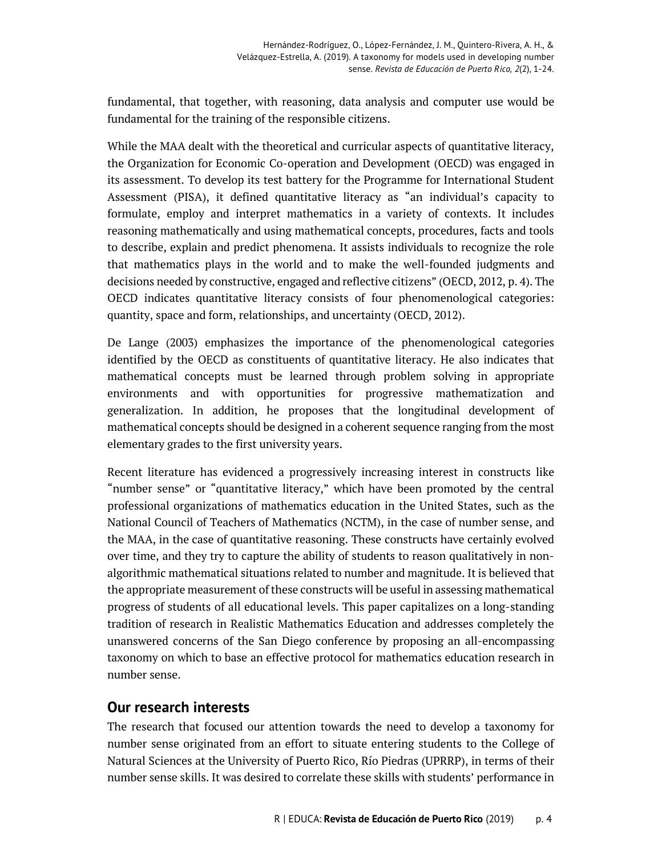fundamental, that together, with reasoning, data analysis and computer use would be fundamental for the training of the responsible citizens.

While the MAA dealt with the theoretical and curricular aspects of quantitative literacy, the Organization for Economic Co-operation and Development (OECD) was engaged in its assessment. To develop its test battery for the Programme for International Student Assessment (PISA), it defined quantitative literacy as "an individual's capacity to formulate, employ and interpret mathematics in a variety of contexts. It includes reasoning mathematically and using mathematical concepts, procedures, facts and tools to describe, explain and predict phenomena. It assists individuals to recognize the role that mathematics plays in the world and to make the well-founded judgments and decisions needed by constructive, engaged and reflective citizens" (OECD, 2012, p. 4). The OECD indicates quantitative literacy consists of four phenomenological categories: quantity, space and form, relationships, and uncertainty (OECD, 2012).

De Lange (2003) emphasizes the importance of the phenomenological categories identified by the OECD as constituents of quantitative literacy. He also indicates that mathematical concepts must be learned through problem solving in appropriate environments and with opportunities for progressive mathematization and generalization. In addition, he proposes that the longitudinal development of mathematical concepts should be designed in a coherent sequence ranging from the most elementary grades to the first university years.

Recent literature has evidenced a progressively increasing interest in constructs like "number sense" or "quantitative literacy," which have been promoted by the central professional organizations of mathematics education in the United States, such as the National Council of Teachers of Mathematics (NCTM), in the case of number sense, and the MAA, in the case of quantitative reasoning. These constructs have certainly evolved over time, and they try to capture the ability of students to reason qualitatively in nonalgorithmic mathematical situations related to number and magnitude. It is believed that the appropriate measurement of these constructs will be useful in assessing mathematical progress of students of all educational levels. This paper capitalizes on a long-standing tradition of research in Realistic Mathematics Education and addresses completely the unanswered concerns of the San Diego conference by proposing an all-encompassing taxonomy on which to base an effective protocol for mathematics education research in number sense.

## **Our research interests**

The research that focused our attention towards the need to develop a taxonomy for number sense originated from an effort to situate entering students to the College of Natural Sciences at the University of Puerto Rico, Río Piedras (UPRRP), in terms of their number sense skills. It was desired to correlate these skills with students' performance in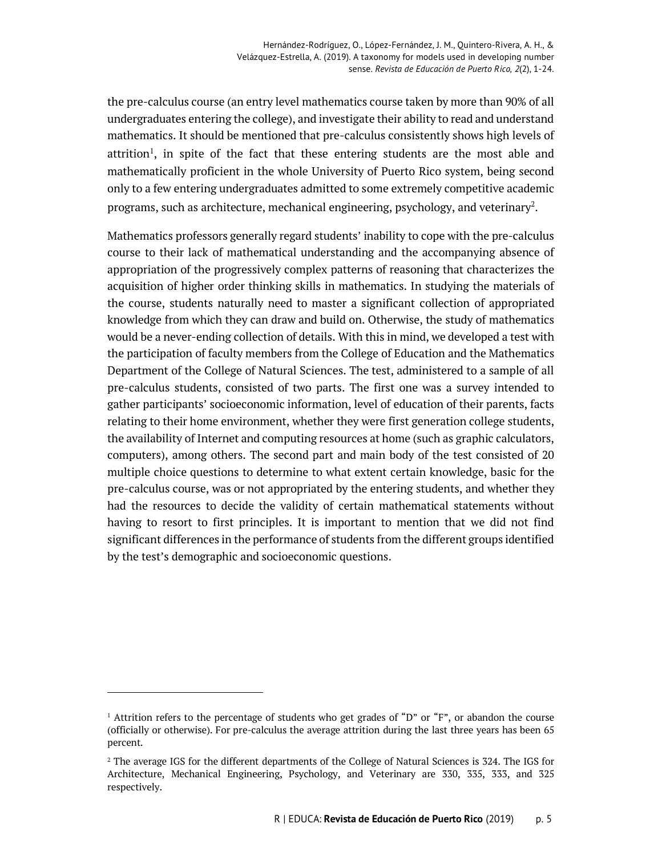the pre-calculus course (an entry level mathematics course taken by more than 90% of all undergraduates entering the college), and investigate their ability to read and understand mathematics. It should be mentioned that pre-calculus consistently shows high levels of attrition<sup>1</sup>, in spite of the fact that these entering students are the most able and mathematically proficient in the whole University of Puerto Rico system, being second only to a few entering undergraduates admitted to some extremely competitive academic programs, such as architecture, mechanical engineering, psychology, and veterinary<sup>2</sup>.

Mathematics professors generally regard students' inability to cope with the pre-calculus course to their lack of mathematical understanding and the accompanying absence of appropriation of the progressively complex patterns of reasoning that characterizes the acquisition of higher order thinking skills in mathematics. In studying the materials of the course, students naturally need to master a significant collection of appropriated knowledge from which they can draw and build on. Otherwise, the study of mathematics would be a never-ending collection of details. With this in mind, we developed a test with the participation of faculty members from the College of Education and the Mathematics Department of the College of Natural Sciences. The test, administered to a sample of all pre-calculus students, consisted of two parts. The first one was a survey intended to gather participants' socioeconomic information, level of education of their parents, facts relating to their home environment, whether they were first generation college students, the availability of Internet and computing resources at home (such as graphic calculators, computers), among others. The second part and main body of the test consisted of 20 multiple choice questions to determine to what extent certain knowledge, basic for the pre-calculus course, was or not appropriated by the entering students, and whether they had the resources to decide the validity of certain mathematical statements without having to resort to first principles. It is important to mention that we did not find significant differences in the performance of students from the different groups identified by the test's demographic and socioeconomic questions.

-

<sup>&</sup>lt;sup>1</sup> Attrition refers to the percentage of students who get grades of "D" or "F", or abandon the course (officially or otherwise). For pre-calculus the average attrition during the last three years has been 65 percent.

<sup>&</sup>lt;sup>2</sup> The average IGS for the different departments of the College of Natural Sciences is 324. The IGS for Architecture, Mechanical Engineering, Psychology, and Veterinary are 330, 335, 333, and 325 respectively.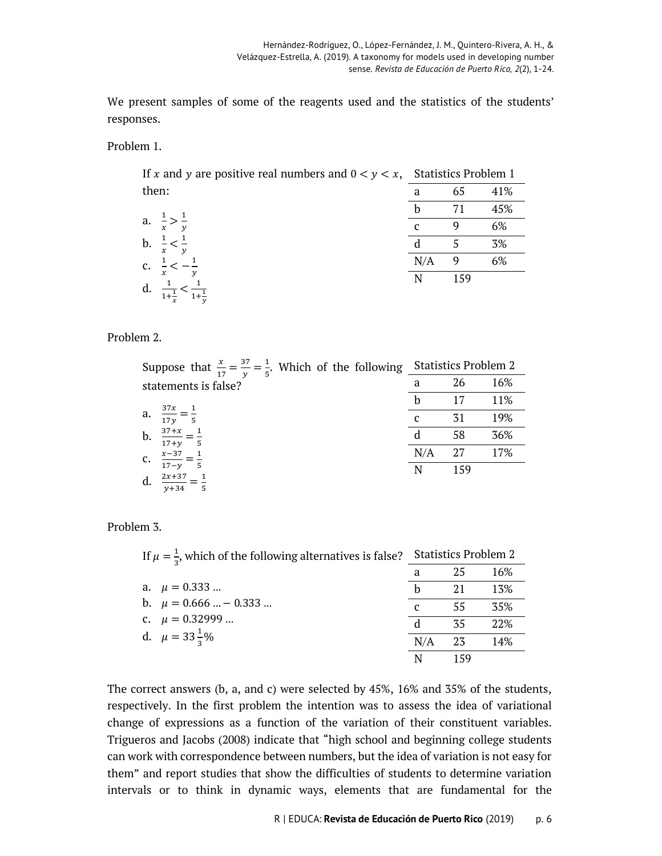We present samples of some of the reagents used and the statistics of the students' responses.

Problem 1.

If x and y are positive real numbers and  $0 < y < x$ , Statistics Problem 1 then: a 65 41%

|                                                        |     | 71  | 45% |
|--------------------------------------------------------|-----|-----|-----|
| a. $\frac{1}{x} > \frac{1}{y}$                         | C   |     | 6%  |
| b. $\frac{1}{x} < \frac{1}{y}$                         | d   | 5   | 3%  |
| c. $\frac{1}{x} < -\frac{1}{y}$                        | N/A | 9   | 6%  |
| d. $\frac{1}{1+\frac{1}{x}} < \frac{1}{1+\frac{1}{y}}$ | N   | 159 |     |

Problem 2.

| Suppose that $\frac{x}{17} = \frac{37}{y} = \frac{1}{5}$ . Which of the following Statistics Problem 2 |  |  |          |  |
|--------------------------------------------------------------------------------------------------------|--|--|----------|--|
| statements is false?                                                                                   |  |  | a 26 16% |  |

|    | 37x                                                      |     |     | 11% |
|----|----------------------------------------------------------|-----|-----|-----|
| a. | $\frac{1}{17y} = -$                                      |     | 31  | 19% |
| b. | $\frac{37+x}{17+y} = \frac{1}{5}$<br>$\overline{1}$<br>5 |     | 58  | 36% |
| c. | $rac{x-37}{17-y} =$<br>1                                 | N/A | 27  | 17% |
| d. | 5<br>$\frac{2x+37}{y+34}$<br>5                           |     | 159 |     |

Problem 3.

| If $\mu = \frac{1}{2}$ , which of the following alternatives is false? |              | <b>Statistics Problem 2</b> |     |  |
|------------------------------------------------------------------------|--------------|-----------------------------|-----|--|
|                                                                        |              | 25                          | 16% |  |
| a. $\mu = 0.333$                                                       |              | 21                          | 13% |  |
| b. $\mu = 0.666  - 0.333 $                                             | $\mathbf{C}$ | 55                          | 35% |  |
| c. $\mu = 0.32999$                                                     |              | 35                          | 22% |  |
| d. $\mu = 33\frac{1}{3}\%$                                             | N/A          | 23                          | 14% |  |
|                                                                        | N            | 159                         |     |  |

The correct answers (b, a, and c) were selected by 45%, 16% and 35% of the students, respectively. In the first problem the intention was to assess the idea of variational change of expressions as a function of the variation of their constituent variables. Trigueros and Jacobs (2008) indicate that "high school and beginning college students can work with correspondence between numbers, but the idea of variation is not easy for them" and report studies that show the difficulties of students to determine variation intervals or to think in dynamic ways, elements that are fundamental for the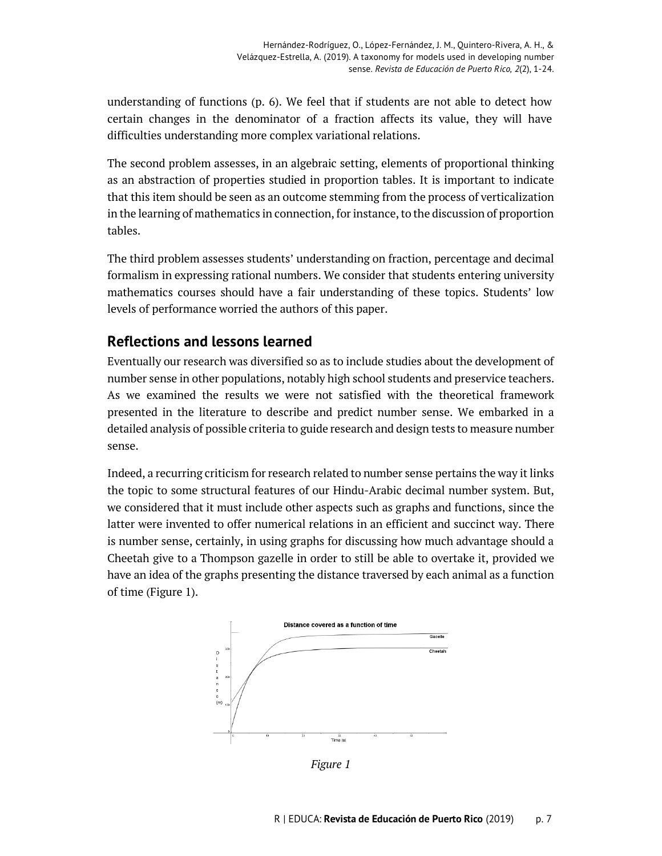understanding of functions (p. 6). We feel that if students are not able to detect how certain changes in the denominator of a fraction affects its value, they will have difficulties understanding more complex variational relations.

The second problem assesses, in an algebraic setting, elements of proportional thinking as an abstraction of properties studied in proportion tables. It is important to indicate that this item should be seen as an outcome stemming from the process of verticalization in the learning of mathematics in connection, for instance, to the discussion of proportion tables.

The third problem assesses students' understanding on fraction, percentage and decimal formalism in expressing rational numbers. We consider that students entering university mathematics courses should have a fair understanding of these topics. Students' low levels of performance worried the authors of this paper.

# **Reflections and lessons learned**

Eventually our research was diversified so as to include studies about the development of number sense in other populations, notably high school students and preservice teachers. As we examined the results we were not satisfied with the theoretical framework presented in the literature to describe and predict number sense. We embarked in a detailed analysis of possible criteria to guide research and design tests to measure number sense.

Indeed, a recurring criticism for research related to number sense pertains the way it links the topic to some structural features of our Hindu-Arabic decimal number system. But, we considered that it must include other aspects such as graphs and functions, since the latter were invented to offer numerical relations in an efficient and succinct way. There is number sense, certainly, in using graphs for discussing how much advantage should a Cheetah give to a Thompson gazelle in order to still be able to overtake it, provided we have an idea of the graphs presenting the distance traversed by each animal as a function of time (Figure 1).



*Figure 1*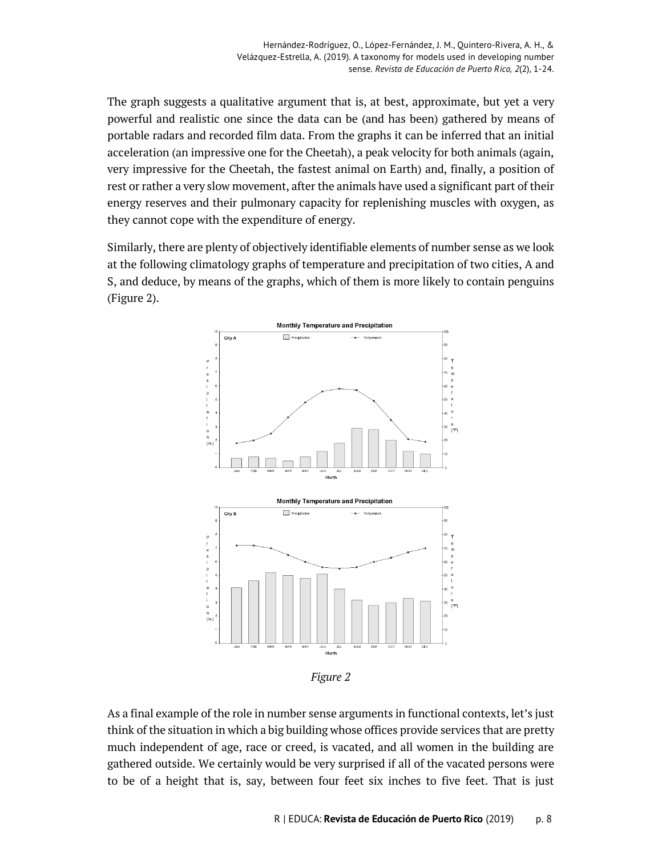The graph suggests a qualitative argument that is, at best, approximate, but yet a very powerful and realistic one since the data can be (and has been) gathered by means of portable radars and recorded film data. From the graphs it can be inferred that an initial acceleration (an impressive one for the Cheetah), a peak velocity for both animals (again, very impressive for the Cheetah, the fastest animal on Earth) and, finally, a position of rest or rather a very slow movement, after the animals have used a significant part of their energy reserves and their pulmonary capacity for replenishing muscles with oxygen, as they cannot cope with the expenditure of energy.

Similarly, there are plenty of objectively identifiable elements of number sense as we look at the following climatology graphs of temperature and precipitation of two cities, A and S, and deduce, by means of the graphs, which of them is more likely to contain penguins (Figure 2).



*Figure 2*

As a final example of the role in number sense arguments in functional contexts, let's just think of the situation in which a big building whose offices provide services that are pretty much independent of age, race or creed, is vacated, and all women in the building are gathered outside. We certainly would be very surprised if all of the vacated persons were to be of a height that is, say, between four feet six inches to five feet. That is just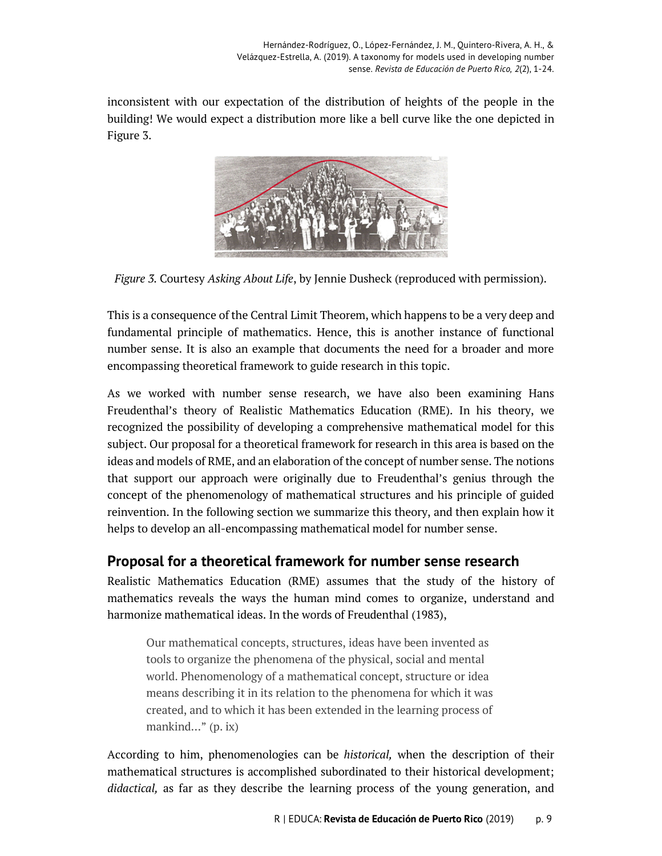inconsistent with our expectation of the distribution of heights of the people in the building! We would expect a distribution more like a bell curve like the one depicted in Figure 3.



*Figure 3.* Courtesy *Asking About Life*, by Jennie Dusheck (reproduced with permission).

This is a consequence of the Central Limit Theorem, which happens to be a very deep and fundamental principle of mathematics. Hence, this is another instance of functional number sense. It is also an example that documents the need for a broader and more encompassing theoretical framework to guide research in this topic.

As we worked with number sense research, we have also been examining Hans Freudenthal's theory of Realistic Mathematics Education (RME). In his theory, we recognized the possibility of developing a comprehensive mathematical model for this subject. Our proposal for a theoretical framework for research in this area is based on the ideas and models of RME, and an elaboration of the concept of number sense. The notions that support our approach were originally due to Freudenthal's genius through the concept of the phenomenology of mathematical structures and his principle of guided reinvention. In the following section we summarize this theory, and then explain how it helps to develop an all-encompassing mathematical model for number sense.

# **Proposal for a theoretical framework for number sense research**

Realistic Mathematics Education (RME) assumes that the study of the history of mathematics reveals the ways the human mind comes to organize, understand and harmonize mathematical ideas. In the words of Freudenthal (1983),

Our mathematical concepts, structures, ideas have been invented as tools to organize the phenomena of the physical, social and mental world. Phenomenology of a mathematical concept, structure or idea means describing it in its relation to the phenomena for which it was created, and to which it has been extended in the learning process of mankind…" (p. ix)

According to him, phenomenologies can be *historical,* when the description of their mathematical structures is accomplished subordinated to their historical development; *didactical,* as far as they describe the learning process of the young generation, and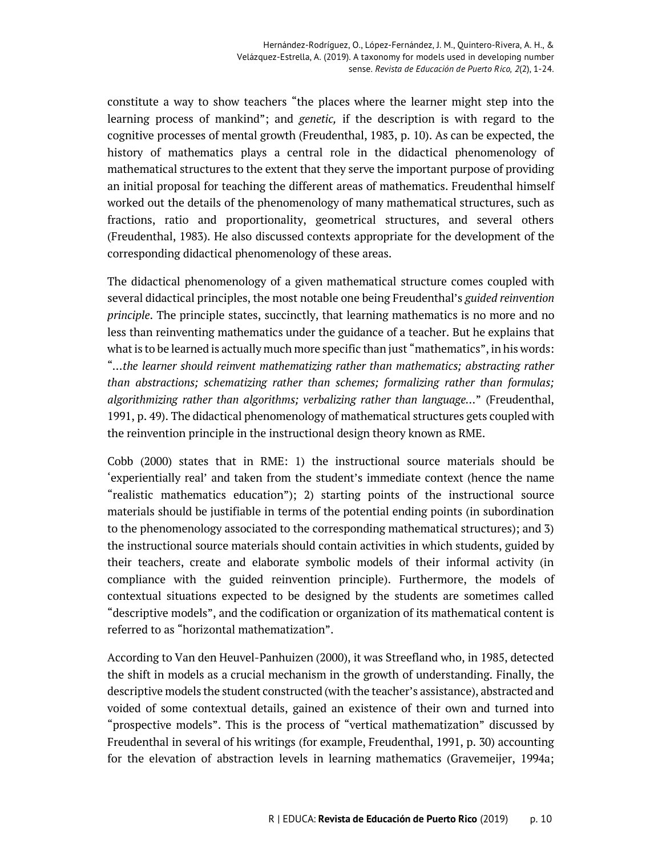constitute a way to show teachers "the places where the learner might step into the learning process of mankind"; and *genetic,* if the description is with regard to the cognitive processes of mental growth (Freudenthal, 1983, p. 10). As can be expected, the history of mathematics plays a central role in the didactical phenomenology of mathematical structures to the extent that they serve the important purpose of providing an initial proposal for teaching the different areas of mathematics. Freudenthal himself worked out the details of the phenomenology of many mathematical structures, such as fractions, ratio and proportionality, geometrical structures, and several others (Freudenthal, 1983). He also discussed contexts appropriate for the development of the corresponding didactical phenomenology of these areas.

The didactical phenomenology of a given mathematical structure comes coupled with several didactical principles, the most notable one being Freudenthal's *guided reinvention principle*. The principle states, succinctly, that learning mathematics is no more and no less than reinventing mathematics under the guidance of a teacher. But he explains that what is to be learned is actually much more specific than just "mathematics", in his words: "*…the learner should reinvent mathematizing rather than mathematics; abstracting rather than abstractions; schematizing rather than schemes; formalizing rather than formulas; algorithmizing rather than algorithms; verbalizing rather than language…*" (Freudenthal, 1991, p. 49). The didactical phenomenology of mathematical structures gets coupled with the reinvention principle in the instructional design theory known as RME.

Cobb (2000) states that in RME: 1) the instructional source materials should be 'experientially real' and taken from the student's immediate context (hence the name "realistic mathematics education"); 2) starting points of the instructional source materials should be justifiable in terms of the potential ending points (in subordination to the phenomenology associated to the corresponding mathematical structures); and 3) the instructional source materials should contain activities in which students, guided by their teachers, create and elaborate symbolic models of their informal activity (in compliance with the guided reinvention principle). Furthermore, the models of contextual situations expected to be designed by the students are sometimes called "descriptive models", and the codification or organization of its mathematical content is referred to as "horizontal mathematization".

According to Van den Heuvel-Panhuizen (2000), it was Streefland who, in 1985, detected the shift in models as a crucial mechanism in the growth of understanding. Finally, the descriptive models the student constructed (with the teacher's assistance), abstracted and voided of some contextual details, gained an existence of their own and turned into "prospective models". This is the process of "vertical mathematization" discussed by Freudenthal in several of his writings (for example, Freudenthal, 1991, p. 30) accounting for the elevation of abstraction levels in learning mathematics (Gravemeijer, 1994a;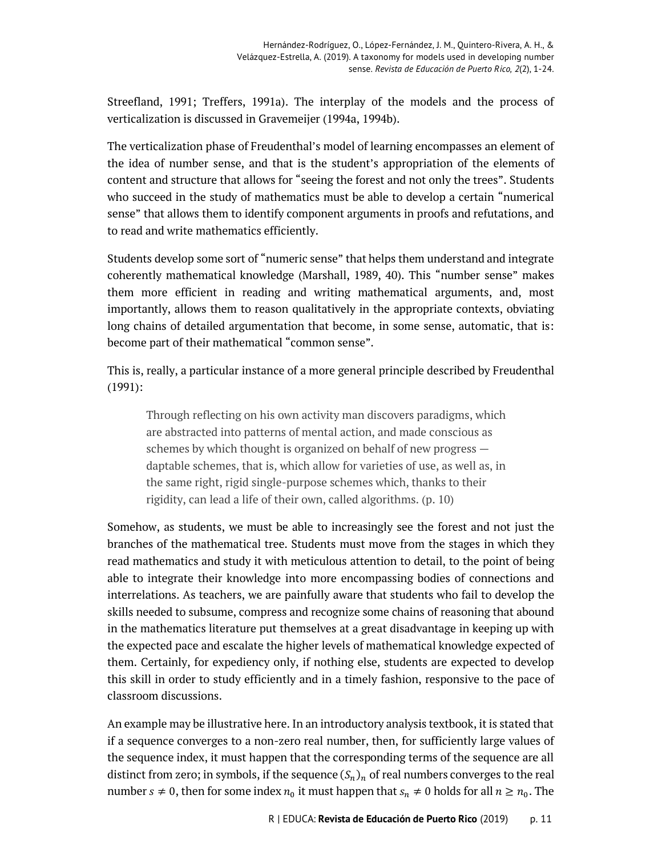Streefland, 1991; Treffers, 1991a). The interplay of the models and the process of verticalization is discussed in Gravemeijer (1994a, 1994b).

The verticalization phase of Freudenthal's model of learning encompasses an element of the idea of number sense, and that is the student's appropriation of the elements of content and structure that allows for "seeing the forest and not only the trees". Students who succeed in the study of mathematics must be able to develop a certain "numerical sense" that allows them to identify component arguments in proofs and refutations, and to read and write mathematics efficiently.

Students develop some sort of "numeric sense" that helps them understand and integrate coherently mathematical knowledge (Marshall, 1989, 40). This "number sense" makes them more efficient in reading and writing mathematical arguments, and, most importantly, allows them to reason qualitatively in the appropriate contexts, obviating long chains of detailed argumentation that become, in some sense, automatic, that is: become part of their mathematical "common sense".

This is, really, a particular instance of a more general principle described by Freudenthal (1991):

Through reflecting on his own activity man discovers paradigms, which are abstracted into patterns of mental action, and made conscious as schemes by which thought is organized on behalf of new progress daptable schemes, that is, which allow for varieties of use, as well as, in the same right, rigid single-purpose schemes which, thanks to their rigidity, can lead a life of their own, called algorithms. (p. 10)

Somehow, as students, we must be able to increasingly see the forest and not just the branches of the mathematical tree. Students must move from the stages in which they read mathematics and study it with meticulous attention to detail, to the point of being able to integrate their knowledge into more encompassing bodies of connections and interrelations. As teachers, we are painfully aware that students who fail to develop the skills needed to subsume, compress and recognize some chains of reasoning that abound in the mathematics literature put themselves at a great disadvantage in keeping up with the expected pace and escalate the higher levels of mathematical knowledge expected of them. Certainly, for expediency only, if nothing else, students are expected to develop this skill in order to study efficiently and in a timely fashion, responsive to the pace of classroom discussions.

An example may be illustrative here. In an introductory analysis textbook, it is stated that if a sequence converges to a non-zero real number, then, for sufficiently large values of the sequence index, it must happen that the corresponding terms of the sequence are all distinct from zero; in symbols, if the sequence  $(S_n)_n$  of real numbers converges to the real number  $s \neq 0$ , then for some index  $n_0$  it must happen that  $s_n \neq 0$  holds for all  $n \geq n_0$ . The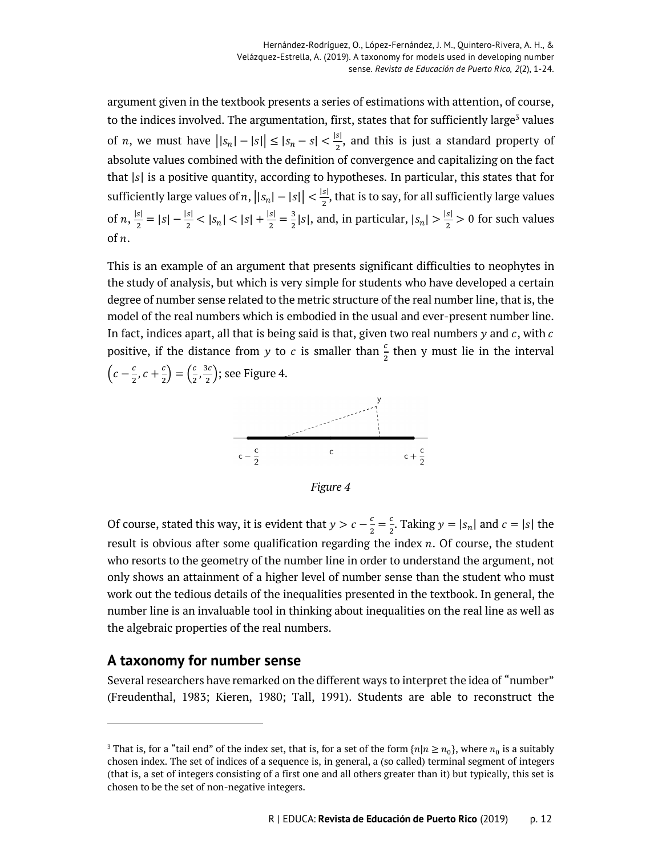argument given in the textbook presents a series of estimations with attention, of course, to the indices involved. The argumentation, first, states that for sufficiently large<sup>3</sup> values of *n*, we must have  $||s_n| - |s|| \le |s_n - s| < \frac{|s|}{2}$ , and this is just a standard property of absolute values combined with the definition of convergence and capitalizing on the fact that  $|s|$  is a positive quantity, according to hypotheses. In particular, this states that for sufficiently large values of n,  $||s_n| - |s|| < \frac{|s|}{2}$ , that is to say, for all sufficiently large values of  $n, \frac{|s|}{2} = |s| - \frac{|s|}{2} < |s_n| < |s| + \frac{|s|}{2} = \frac{3}{2}|s|$ , and, in particular,  $|s_n| > \frac{|s|}{2} > 0$  for such values of  $n$ .

This is an example of an argument that presents significant difficulties to neophytes in the study of analysis, but which is very simple for students who have developed a certain degree of number sense related to the metric structure of the real number line, that is, the model of the real numbers which is embodied in the usual and ever-present number line. In fact, indices apart, all that is being said is that, given two real numbers  $y$  and  $c$ , with  $c$ positive, if the distance from y to c is smaller than  $\frac{c}{2}$  then y must lie in the interval  $\left(c-\frac{c}{2}, c+\frac{c}{2}\right)=\left(\frac{c}{2}, \frac{3c}{2}\right)$ ; see Figure 4.



*Figure 4*

Of course, stated this way, it is evident that  $y > c - \frac{c}{2} = \frac{c}{2}$ . Taking  $y = |s_n|$  and  $c = |s|$  the result is obvious after some qualification regarding the index  $n$ . Of course, the student who resorts to the geometry of the number line in order to understand the argument, not only shows an attainment of a higher level of number sense than the student who must work out the tedious details of the inequalities presented in the textbook. In general, the number line is an invaluable tool in thinking about inequalities on the real line as well as the algebraic properties of the real numbers.

#### **A taxonomy for number sense**

-

Several researchers have remarked on the different ways to interpret the idea of "number" (Freudenthal, 1983; Kieren, 1980; Tall, 1991). Students are able to reconstruct the

<sup>&</sup>lt;sup>3</sup> That is, for a "tail end" of the index set, that is, for a set of the form  $\{n | n \ge n_0\}$ , where  $n_0$  is a suitably chosen index. The set of indices of a sequence is, in general, a (so called) terminal segment of integers (that is, a set of integers consisting of a first one and all others greater than it) but typically, this set is chosen to be the set of non-negative integers.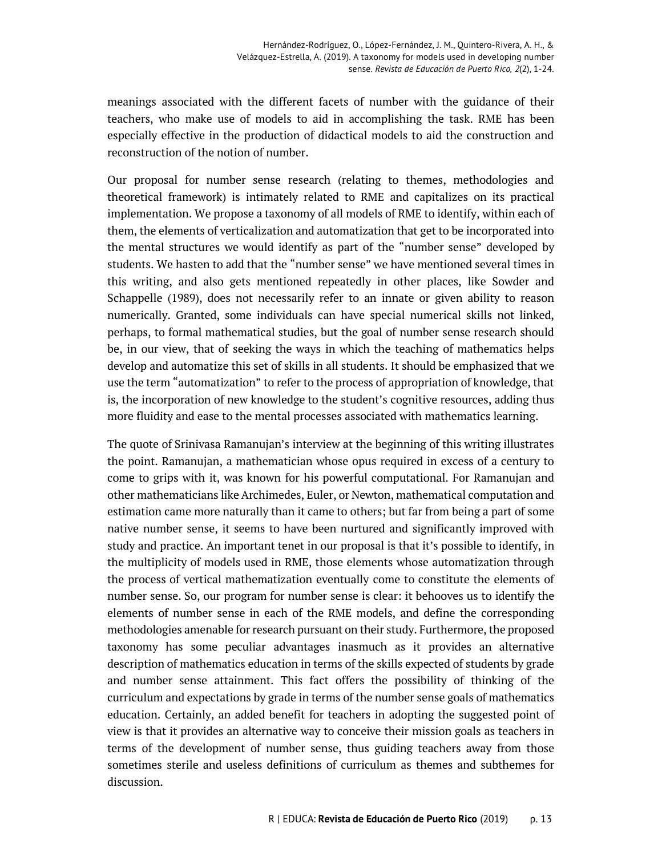meanings associated with the different facets of number with the guidance of their teachers, who make use of models to aid in accomplishing the task. RME has been especially effective in the production of didactical models to aid the construction and reconstruction of the notion of number.

Our proposal for number sense research (relating to themes, methodologies and theoretical framework) is intimately related to RME and capitalizes on its practical implementation. We propose a taxonomy of all models of RME to identify, within each of them, the elements of verticalization and automatization that get to be incorporated into the mental structures we would identify as part of the "number sense" developed by students. We hasten to add that the "number sense" we have mentioned several times in this writing, and also gets mentioned repeatedly in other places, like Sowder and Schappelle (1989), does not necessarily refer to an innate or given ability to reason numerically. Granted, some individuals can have special numerical skills not linked, perhaps, to formal mathematical studies, but the goal of number sense research should be, in our view, that of seeking the ways in which the teaching of mathematics helps develop and automatize this set of skills in all students. It should be emphasized that we use the term "automatization" to refer to the process of appropriation of knowledge, that is, the incorporation of new knowledge to the student's cognitive resources, adding thus more fluidity and ease to the mental processes associated with mathematics learning.

The quote of Srinivasa Ramanujan's interview at the beginning of this writing illustrates the point. Ramanujan, a mathematician whose opus required in excess of a century to come to grips with it, was known for his powerful computational. For Ramanujan and other mathematicians like Archimedes, Euler, or Newton, mathematical computation and estimation came more naturally than it came to others; but far from being a part of some native number sense, it seems to have been nurtured and significantly improved with study and practice. An important tenet in our proposal is that it's possible to identify, in the multiplicity of models used in RME, those elements whose automatization through the process of vertical mathematization eventually come to constitute the elements of number sense. So, our program for number sense is clear: it behooves us to identify the elements of number sense in each of the RME models, and define the corresponding methodologies amenable for research pursuant on their study. Furthermore, the proposed taxonomy has some peculiar advantages inasmuch as it provides an alternative description of mathematics education in terms of the skills expected of students by grade and number sense attainment. This fact offers the possibility of thinking of the curriculum and expectations by grade in terms of the number sense goals of mathematics education. Certainly, an added benefit for teachers in adopting the suggested point of view is that it provides an alternative way to conceive their mission goals as teachers in terms of the development of number sense, thus guiding teachers away from those sometimes sterile and useless definitions of curriculum as themes and subthemes for discussion.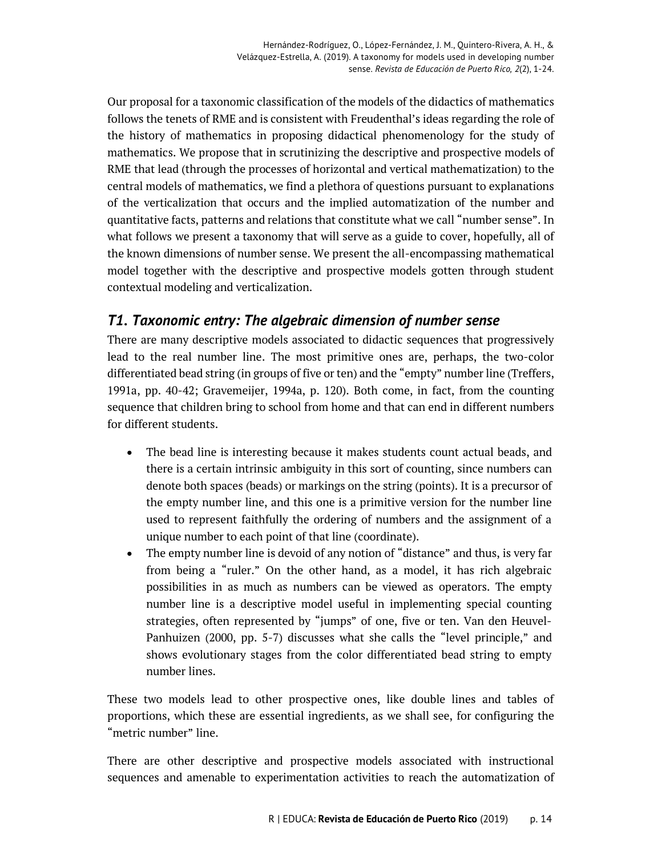Our proposal for a taxonomic classification of the models of the didactics of mathematics follows the tenets of RME and is consistent with Freudenthal's ideas regarding the role of the history of mathematics in proposing didactical phenomenology for the study of mathematics. We propose that in scrutinizing the descriptive and prospective models of RME that lead (through the processes of horizontal and vertical mathematization) to the central models of mathematics, we find a plethora of questions pursuant to explanations of the verticalization that occurs and the implied automatization of the number and quantitative facts, patterns and relations that constitute what we call "number sense". In what follows we present a taxonomy that will serve as a guide to cover, hopefully, all of the known dimensions of number sense. We present the all-encompassing mathematical model together with the descriptive and prospective models gotten through student contextual modeling and verticalization.

# *T1. Taxonomic entry: The algebraic dimension of number sense*

There are many descriptive models associated to didactic sequences that progressively lead to the real number line. The most primitive ones are, perhaps, the two-color differentiated bead string (in groups of five or ten) and the "empty" number line (Treffers, 1991a, pp. 40-42; Gravemeijer, 1994a, p. 120). Both come, in fact, from the counting sequence that children bring to school from home and that can end in different numbers for different students.

- The bead line is interesting because it makes students count actual beads, and there is a certain intrinsic ambiguity in this sort of counting, since numbers can denote both spaces (beads) or markings on the string (points). It is a precursor of the empty number line, and this one is a primitive version for the number line used to represent faithfully the ordering of numbers and the assignment of a unique number to each point of that line (coordinate).
- The empty number line is devoid of any notion of "distance" and thus, is very far from being a "ruler." On the other hand, as a model, it has rich algebraic possibilities in as much as numbers can be viewed as operators. The empty number line is a descriptive model useful in implementing special counting strategies, often represented by "jumps" of one, five or ten. Van den Heuvel-Panhuizen (2000, pp. 5-7) discusses what she calls the "level principle," and shows evolutionary stages from the color differentiated bead string to empty number lines.

These two models lead to other prospective ones, like double lines and tables of proportions, which these are essential ingredients, as we shall see, for configuring the "metric number" line.

There are other descriptive and prospective models associated with instructional sequences and amenable to experimentation activities to reach the automatization of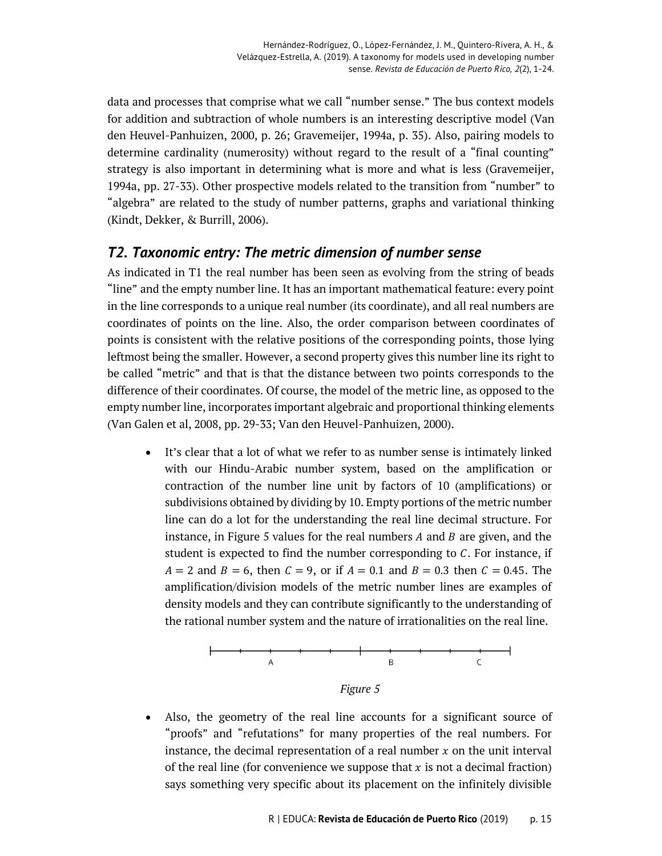data and processes that comprise what we call "number sense." The bus context models for addition and subtraction of whole numbers is an interesting descriptive model (Van den Heuvel-Panhuizen, 2000, p. 26; Gravemeijer, 1994a, p. 35). Also, pairing models to determine cardinality (numerosity) without regard to the result of a "final counting" strategy is also important in determining what is more and what is less (Gravemeijer, 1994a, pp. 27-33). Other prospective models related to the transition from "number" to "algebra" are related to the study of number patterns, graphs and variational thinking (Kindt, Dekker, & Burrill, 2006).

## *T2. Taxonomic entry: The metric dimension of number sense*

As indicated in T1 the real number has been seen as evolving from the string of beads "line" and the empty number line. It has an important mathematical feature: every point in the line corresponds to a unique real number (its coordinate), and all real numbers are coordinates of points on the line. Also, the order comparison between coordinates of points is consistent with the relative positions of the corresponding points, those lying leftmost being the smaller. However, a second property gives this number line its right to be called "metric" and that is that the distance between two points corresponds to the difference of their coordinates. Of course, the model of the metric line, as opposed to the empty number line, incorporates important algebraic and proportional thinking elements (Van Galen et al, 2008, pp. 29-33; Van den Heuvel-Panhuizen, 2000).

• It's clear that a lot of what we refer to as number sense is intimately linked with our Hindu-Arabic number system, based on the amplification or contraction of the number line unit by factors of 10 (amplifications) or subdivisions obtained by dividing by 10. Empty portions of the metric number line can do a lot for the understanding the real line decimal structure. For instance, in Figure 5 values for the real numbers  $A$  and  $B$  are given, and the student is expected to find the number corresponding to  $C$ . For instance, if  $A = 2$  and  $B = 6$ , then  $C = 9$ , or if  $A = 0.1$  and  $B = 0.3$  then  $C = 0.45$ . The amplification/division models of the metric number lines are examples of density models and they can contribute significantly to the understanding of the rational number system and the nature of irrationalities on the real line.



*Figure 5*

Also, the geometry of the real line accounts for a significant source of "proofs" and "refutations" for many properties of the real numbers. For instance, the decimal representation of a real number  $x$  on the unit interval of the real line (for convenience we suppose that  $x$  is not a decimal fraction) says something very specific about its placement on the infinitely divisible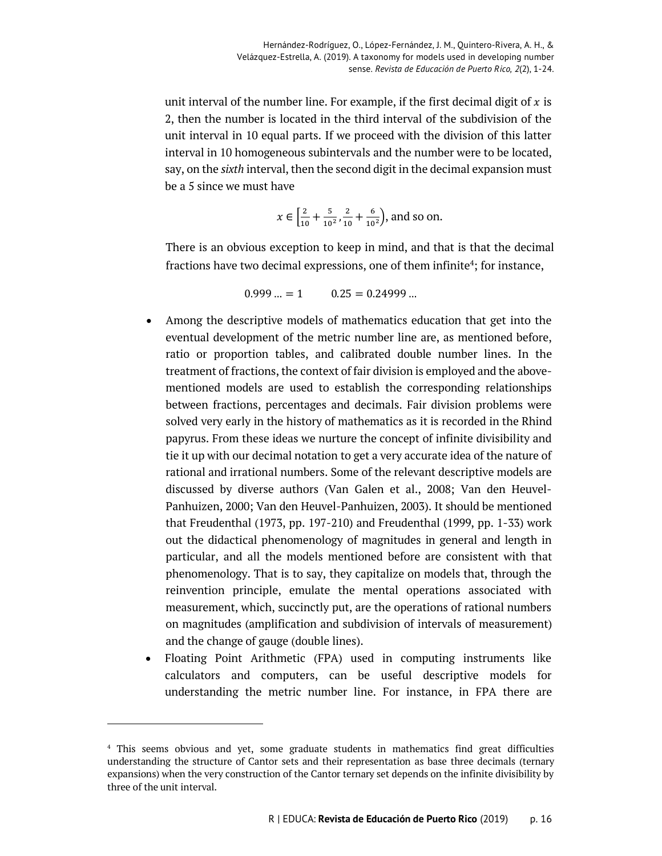unit interval of the number line. For example, if the first decimal digit of  $x$  is 2, then the number is located in the third interval of the subdivision of the unit interval in 10 equal parts. If we proceed with the division of this latter interval in 10 homogeneous subintervals and the number were to be located, say, on the *sixth* interval, then the second digit in the decimal expansion must be a 5 since we must have

$$
x \in \left[\frac{2}{10} + \frac{5}{10^2}, \frac{2}{10} + \frac{6}{10^2}\right)
$$
, and so on.

There is an obvious exception to keep in mind, and that is that the decimal fractions have two decimal expressions, one of them infinite<sup>4</sup>; for instance,

 $0.999... = 1$   $0.25 = 0.24999...$ 

- Among the descriptive models of mathematics education that get into the eventual development of the metric number line are, as mentioned before, ratio or proportion tables, and calibrated double number lines. In the treatment of fractions, the context of fair division is employed and the abovementioned models are used to establish the corresponding relationships between fractions, percentages and decimals. Fair division problems were solved very early in the history of mathematics as it is recorded in the Rhind papyrus. From these ideas we nurture the concept of infinite divisibility and tie it up with our decimal notation to get a very accurate idea of the nature of rational and irrational numbers. Some of the relevant descriptive models are discussed by diverse authors (Van Galen et al., 2008; Van den Heuvel-Panhuizen, 2000; Van den Heuvel-Panhuizen, 2003). It should be mentioned that Freudenthal (1973, pp. 197-210) and Freudenthal (1999, pp. 1-33) work out the didactical phenomenology of magnitudes in general and length in particular, and all the models mentioned before are consistent with that phenomenology. That is to say, they capitalize on models that, through the reinvention principle, emulate the mental operations associated with measurement, which, succinctly put, are the operations of rational numbers on magnitudes (amplification and subdivision of intervals of measurement) and the change of gauge (double lines).
- Floating Point Arithmetic (FPA) used in computing instruments like calculators and computers, can be useful descriptive models for understanding the metric number line. For instance, in FPA there are

-

<sup>4</sup> This seems obvious and yet, some graduate students in mathematics find great difficulties understanding the structure of Cantor sets and their representation as base three decimals (ternary expansions) when the very construction of the Cantor ternary set depends on the infinite divisibility by three of the unit interval.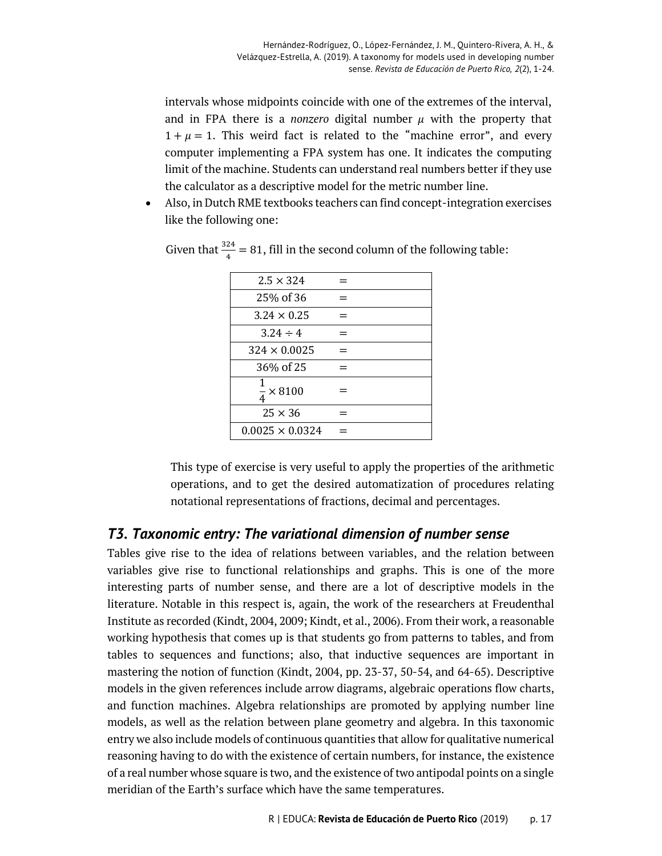intervals whose midpoints coincide with one of the extremes of the interval, and in FPA there is a *nonzero* digital number  $\mu$  with the property that  $1 + \mu = 1$ . This weird fact is related to the "machine error", and every computer implementing a FPA system has one. It indicates the computing limit of the machine. Students can understand real numbers better if they use the calculator as a descriptive model for the metric number line.

• Also, in Dutch RME textbooks teachers can find concept-integration exercises like the following one:

| $2.5 \times 324$          |  |
|---------------------------|--|
| 25% of 36                 |  |
| $3.24 \times 0.25$        |  |
| $3.24 \div 4$             |  |
| $324 \times 0.0025$       |  |
| 36% of 25                 |  |
| 1<br>$\frac{1}{4}$ × 8100 |  |
| $25 \times 36$            |  |
| $0.0025 \times 0.0324$    |  |

Given that  $\frac{324}{4} = 81$ , fill in the second column of the following table:

This type of exercise is very useful to apply the properties of the arithmetic operations, and to get the desired automatization of procedures relating notational representations of fractions, decimal and percentages.

## *T3. Taxonomic entry: The variational dimension of number sense*

Tables give rise to the idea of relations between variables, and the relation between variables give rise to functional relationships and graphs. This is one of the more interesting parts of number sense, and there are a lot of descriptive models in the literature. Notable in this respect is, again, the work of the researchers at Freudenthal Institute as recorded (Kindt, 2004, 2009; Kindt, et al., 2006). From their work, a reasonable working hypothesis that comes up is that students go from patterns to tables, and from tables to sequences and functions; also, that inductive sequences are important in mastering the notion of function (Kindt, 2004, pp. 23-37, 50-54, and 64-65). Descriptive models in the given references include arrow diagrams, algebraic operations flow charts, and function machines. Algebra relationships are promoted by applying number line models, as well as the relation between plane geometry and algebra. In this taxonomic entry we also include models of continuous quantities that allow for qualitative numerical reasoning having to do with the existence of certain numbers, for instance, the existence of a real number whose square is two, and the existence of two antipodal points on a single meridian of the Earth's surface which have the same temperatures.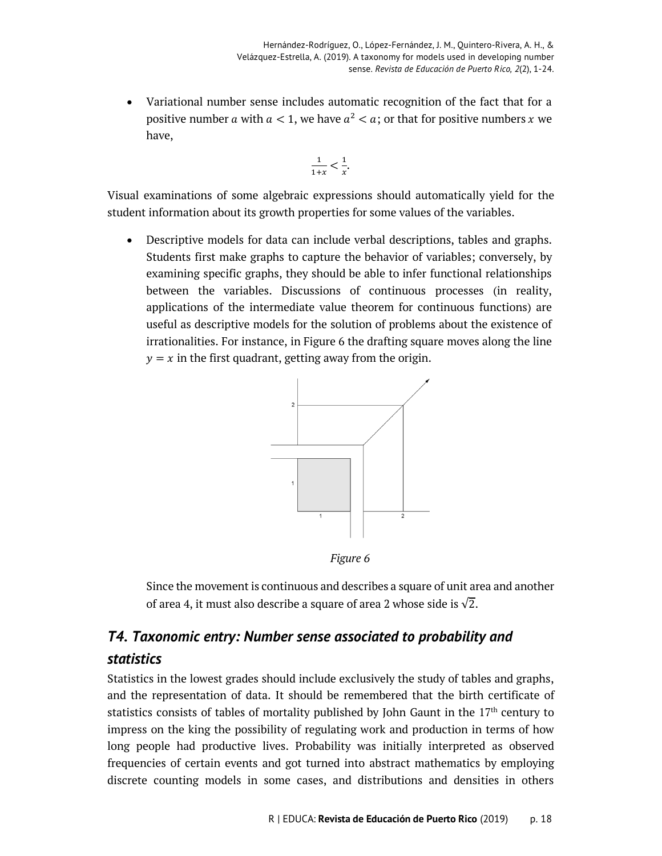• Variational number sense includes automatic recognition of the fact that for a positive number *a* with  $a < 1$ , we have  $a^2 < a$ ; or that for positive numbers *x* we have,

$$
\frac{1}{1+x} < \frac{1}{x}.
$$

Visual examinations of some algebraic expressions should automatically yield for the student information about its growth properties for some values of the variables.

• Descriptive models for data can include verbal descriptions, tables and graphs. Students first make graphs to capture the behavior of variables; conversely, by examining specific graphs, they should be able to infer functional relationships between the variables. Discussions of continuous processes (in reality, applications of the intermediate value theorem for continuous functions) are useful as descriptive models for the solution of problems about the existence of irrationalities. For instance, in Figure 6 the drafting square moves along the line  $y = x$  in the first quadrant, getting away from the origin.



*Figure 6*

Since the movement is continuous and describes a square of unit area and another of area 4, it must also describe a square of area 2 whose side is  $\sqrt{2}$ .

# *T4. Taxonomic entry: Number sense associated to probability and statistics*

Statistics in the lowest grades should include exclusively the study of tables and graphs, and the representation of data. It should be remembered that the birth certificate of statistics consists of tables of mortality published by John Gaunt in the 17<sup>th</sup> century to impress on the king the possibility of regulating work and production in terms of how long people had productive lives. Probability was initially interpreted as observed frequencies of certain events and got turned into abstract mathematics by employing discrete counting models in some cases, and distributions and densities in others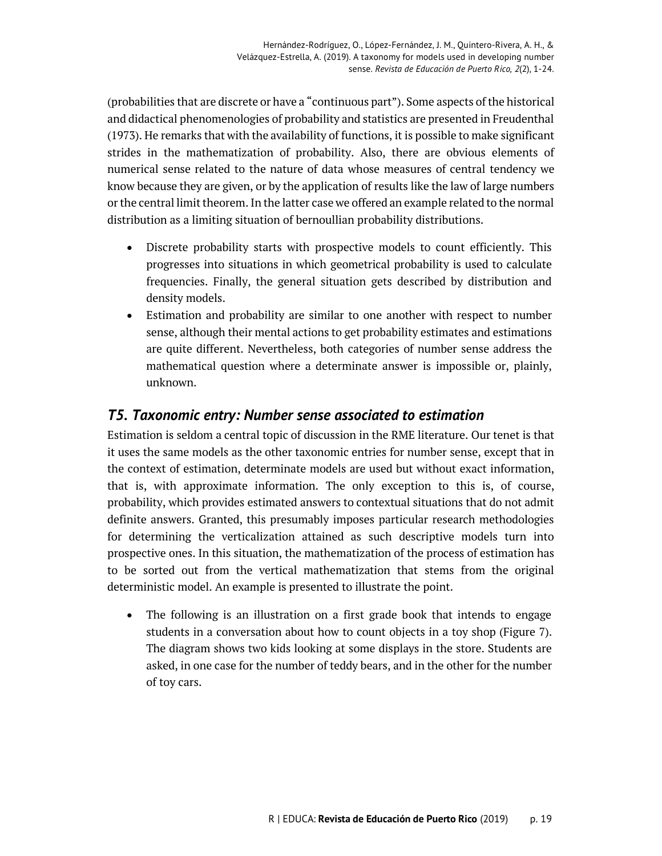(probabilities that are discrete or have a "continuous part"). Some aspects of the historical and didactical phenomenologies of probability and statistics are presented in Freudenthal (1973). He remarks that with the availability of functions, it is possible to make significant strides in the mathematization of probability. Also, there are obvious elements of numerical sense related to the nature of data whose measures of central tendency we know because they are given, or by the application of results like the law of large numbers or the central limit theorem. In the latter case we offered an example related to the normal distribution as a limiting situation of bernoullian probability distributions.

- Discrete probability starts with prospective models to count efficiently. This progresses into situations in which geometrical probability is used to calculate frequencies. Finally, the general situation gets described by distribution and density models.
- Estimation and probability are similar to one another with respect to number sense, although their mental actions to get probability estimates and estimations are quite different. Nevertheless, both categories of number sense address the mathematical question where a determinate answer is impossible or, plainly, unknown.

## *T5. Taxonomic entry: Number sense associated to estimation*

Estimation is seldom a central topic of discussion in the RME literature. Our tenet is that it uses the same models as the other taxonomic entries for number sense, except that in the context of estimation, determinate models are used but without exact information, that is, with approximate information. The only exception to this is, of course, probability, which provides estimated answers to contextual situations that do not admit definite answers. Granted, this presumably imposes particular research methodologies for determining the verticalization attained as such descriptive models turn into prospective ones. In this situation, the mathematization of the process of estimation has to be sorted out from the vertical mathematization that stems from the original deterministic model. An example is presented to illustrate the point.

• The following is an illustration on a first grade book that intends to engage students in a conversation about how to count objects in a toy shop (Figure 7). The diagram shows two kids looking at some displays in the store. Students are asked, in one case for the number of teddy bears, and in the other for the number of toy cars.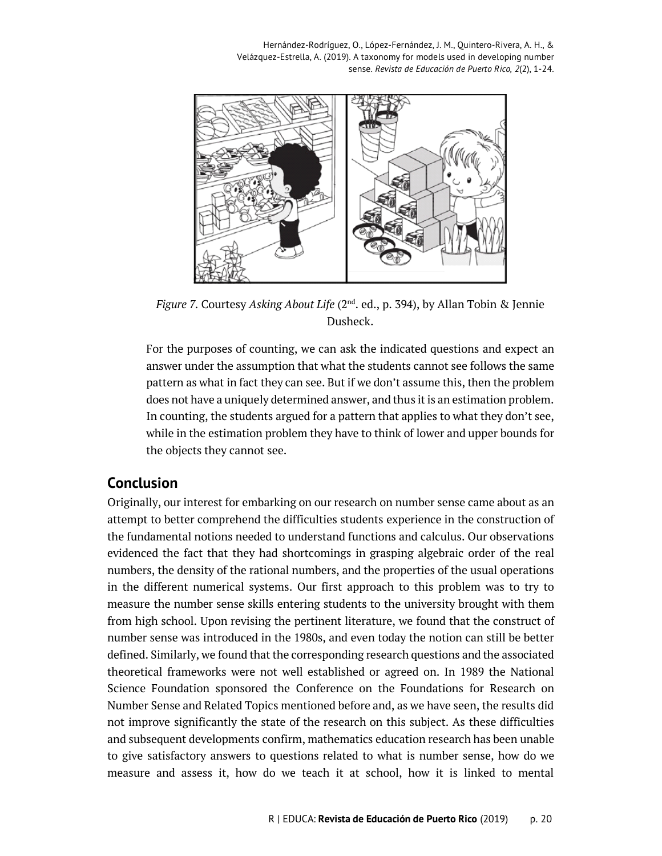Hernández-Rodríguez, O., López-Fernández, J. M., Quintero-Rivera, A. H., & Velázquez-Estrella, A. (2019). A taxonomy for models used in developing number sense. *Revista de Educación de Puerto Rico, 2*(2), 1-24.



*Figure 7.* Courtesy *Asking About Life* (2nd. ed., p. 394), by Allan Tobin & Jennie Dusheck.

For the purposes of counting, we can ask the indicated questions and expect an answer under the assumption that what the students cannot see follows the same pattern as what in fact they can see. But if we don't assume this, then the problem does not have a uniquely determined answer, and thus it is an estimation problem. In counting, the students argued for a pattern that applies to what they don't see, while in the estimation problem they have to think of lower and upper bounds for the objects they cannot see.

#### **Conclusion**

Originally, our interest for embarking on our research on number sense came about as an attempt to better comprehend the difficulties students experience in the construction of the fundamental notions needed to understand functions and calculus. Our observations evidenced the fact that they had shortcomings in grasping algebraic order of the real numbers, the density of the rational numbers, and the properties of the usual operations in the different numerical systems. Our first approach to this problem was to try to measure the number sense skills entering students to the university brought with them from high school. Upon revising the pertinent literature, we found that the construct of number sense was introduced in the 1980s, and even today the notion can still be better defined. Similarly, we found that the corresponding research questions and the associated theoretical frameworks were not well established or agreed on. In 1989 the National Science Foundation sponsored the Conference on the Foundations for Research on Number Sense and Related Topics mentioned before and, as we have seen, the results did not improve significantly the state of the research on this subject. As these difficulties and subsequent developments confirm, mathematics education research has been unable to give satisfactory answers to questions related to what is number sense, how do we measure and assess it, how do we teach it at school, how it is linked to mental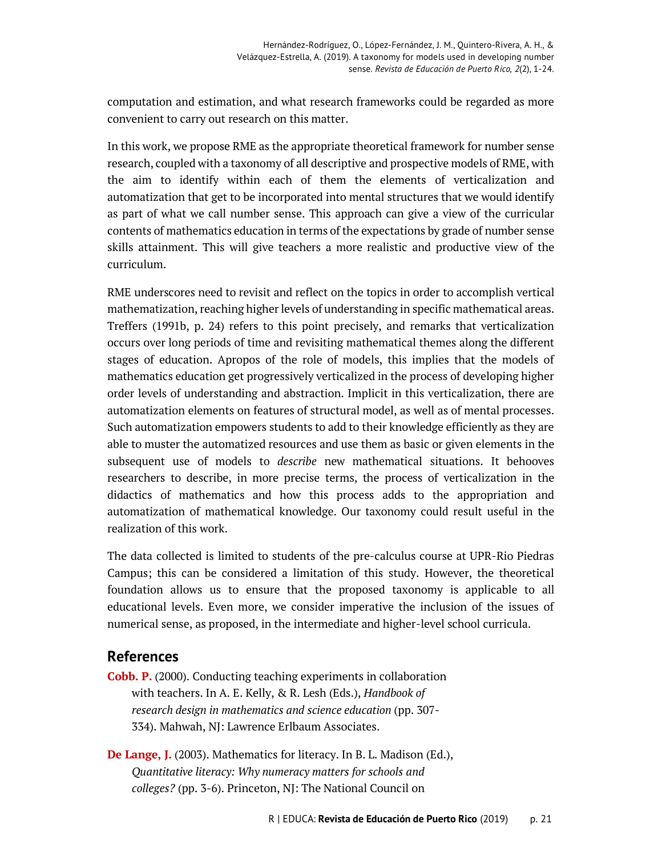computation and estimation, and what research frameworks could be regarded as more convenient to carry out research on this matter.

In this work, we propose RME as the appropriate theoretical framework for number sense research, coupled with a taxonomy of all descriptive and prospective models of RME, with the aim to identify within each of them the elements of verticalization and automatization that get to be incorporated into mental structures that we would identify as part of what we call number sense. This approach can give a view of the curricular contents of mathematics education in terms of the expectations by grade of number sense skills attainment. This will give teachers a more realistic and productive view of the curriculum.

RME underscores need to revisit and reflect on the topics in order to accomplish vertical mathematization, reaching higher levels of understanding in specific mathematical areas. Treffers (1991b, p. 24) refers to this point precisely, and remarks that verticalization occurs over long periods of time and revisiting mathematical themes along the different stages of education. Apropos of the role of models, this implies that the models of mathematics education get progressively verticalized in the process of developing higher order levels of understanding and abstraction. Implicit in this verticalization, there are automatization elements on features of structural model, as well as of mental processes. Such automatization empowers students to add to their knowledge efficiently as they are able to muster the automatized resources and use them as basic or given elements in the subsequent use of models to *describe* new mathematical situations. It behooves researchers to describe, in more precise terms, the process of verticalization in the didactics of mathematics and how this process adds to the appropriation and automatization of mathematical knowledge. Our taxonomy could result useful in the realization of this work.

The data collected is limited to students of the pre-calculus course at UPR-Rio Piedras Campus; this can be considered a limitation of this study. However, the theoretical foundation allows us to ensure that the proposed taxonomy is applicable to all educational levels. Even more, we consider imperative the inclusion of the issues of numerical sense, as proposed, in the intermediate and higher-level school curricula.

#### **References**

**Cobb. P.** (2000). Conducting teaching experiments in collaboration with teachers. In A. E. Kelly, & R. Lesh (Eds.), *Handbook of research design in mathematics and science education* (pp. 307- 334). Mahwah, NJ: Lawrence Erlbaum Associates.

**De Lange, J.** (2003). Mathematics for literacy. In B. L. Madison (Ed.), *Quantitative literacy: Why numeracy matters for schools and colleges?* (pp. 3-6). Princeton, NJ: The National Council on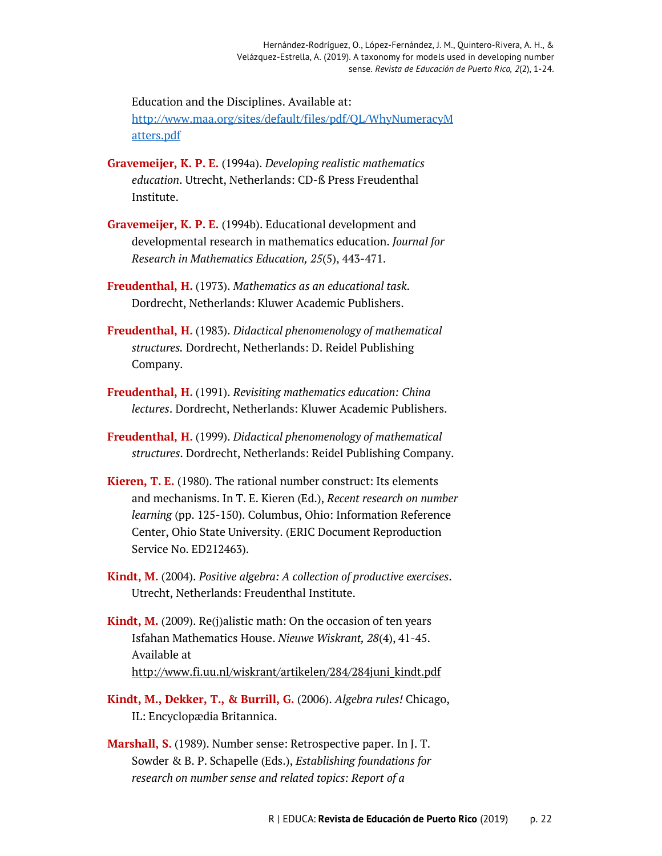Education and the Disciplines. Available at: http://www.maa.org/sites/default/files/pdf/QL/WhyNumeracyM atters.pdf

- **Gravemeijer, K. P. E.** (1994a). *Developing realistic mathematics education*. Utrecht, Netherlands: CD-ß Press Freudenthal Institute.
- **Gravemeijer, K. P. E.** (1994b). Educational development and developmental research in mathematics education. *Journal for Research in Mathematics Education, 25*(5), 443-471.
- **Freudenthal, H.** (1973). *Mathematics as an educational task*. Dordrecht, Netherlands: Kluwer Academic Publishers.
- **Freudenthal, H.** (1983). *Didactical phenomenology of mathematical structures.* Dordrecht, Netherlands: D. Reidel Publishing Company.
- **Freudenthal, H.** (1991). *Revisiting mathematics education: China lectures*. Dordrecht, Netherlands: Kluwer Academic Publishers.
- **Freudenthal, H.** (1999). *Didactical phenomenology of mathematical structures*. Dordrecht, Netherlands: Reidel Publishing Company.
- **Kieren, T. E.** (1980). The rational number construct: Its elements and mechanisms. In T. E. Kieren (Ed.), *Recent research on number learning* (pp. 125-150). Columbus, Ohio: Information Reference Center, Ohio State University. (ERIC Document Reproduction Service No. ED212463).
- **Kindt, M.** (2004). *Positive algebra: A collection of productive exercises*. Utrecht, Netherlands: Freudenthal Institute.
- **Kindt, M.** (2009). Re(j)alistic math: On the occasion of ten years Isfahan Mathematics House. *Nieuwe Wiskrant, 28*(4), 41-45. Available at http://www.fi.uu.nl/wiskrant/artikelen/284/284juni\_kindt.pdf
- **Kindt, M., Dekker, T., & Burrill, G.** (2006). *Algebra rules!* Chicago, IL: Encyclopædia Britannica.
- **Marshall, S.** (1989). Number sense: Retrospective paper. In J. T. Sowder & B. P. Schapelle (Eds.), *Establishing foundations for research on number sense and related topics: Report of a*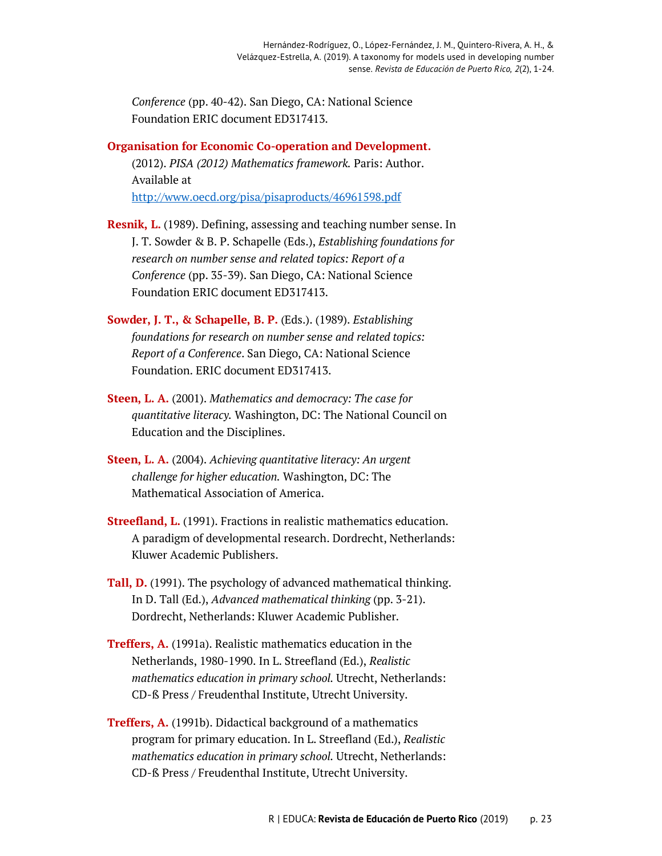*Conference* (pp. 40-42). San Diego, CA: National Science Foundation ERIC document ED317413.

**Organisation for Economic Co-operation and Development.**

(2012). *PISA (2012) Mathematics framework.* Paris: Author. Available at http://www.oecd.org/pisa/pisaproducts/46961598.pdf

- **Resnik, L.** (1989). Defining, assessing and teaching number sense. In J. T. Sowder & B. P. Schapelle (Eds.), *Establishing foundations for research on number sense and related topics: Report of a Conference* (pp. 35-39). San Diego, CA: National Science Foundation ERIC document ED317413.
- **Sowder, J. T., & Schapelle, B. P.** (Eds.). (1989). *Establishing foundations for research on number sense and related topics: Report of a Conference*. San Diego, CA: National Science Foundation. ERIC document ED317413.
- **Steen, L. A.** (2001). *Mathematics and democracy: The case for quantitative literacy.* Washington, DC: The National Council on Education and the Disciplines.
- **Steen, L. A.** (2004). *Achieving quantitative literacy: An urgent challenge for higher education.* Washington, DC: The Mathematical Association of America.
- **Streefland, L.** (1991). Fractions in realistic mathematics education. A paradigm of developmental research. Dordrecht, Netherlands: Kluwer Academic Publishers.
- **Tall, D.** (1991). The psychology of advanced mathematical thinking. In D. Tall (Ed.), *Advanced mathematical thinking* (pp. 3-21). Dordrecht, Netherlands: Kluwer Academic Publisher.
- **Treffers, A.** (1991a). Realistic mathematics education in the Netherlands, 1980-1990. In L. Streefland (Ed.), *Realistic mathematics education in primary school.* Utrecht, Netherlands: CD-ß Press / Freudenthal Institute, Utrecht University.
- **Treffers, A.** (1991b). Didactical background of a mathematics program for primary education. In L. Streefland (Ed.), *Realistic mathematics education in primary school.* Utrecht, Netherlands: CD-ß Press / Freudenthal Institute, Utrecht University.